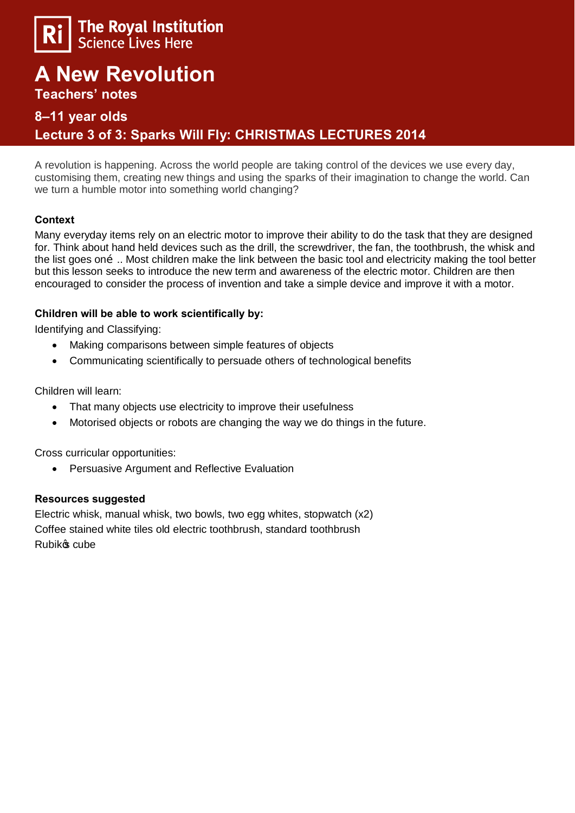

# **A New Revolution**

**Teachers' notes** 

### **8–11 year olds**

## **Lecture 3 of 3: Sparks Will Fly: CHRISTMAS LECTURES 2014**

A revolution is happening. Across the world people are taking control of the devices we use every day, customising them, creating new things and using the sparks of their imagination to change the world. Can we turn a humble motor into something world changing?

#### **Context**

Many everyday items rely on an electric motor to improve their ability to do the task that they are designed for. Think about hand held devices such as the drill, the screwdriver, the fan, the toothbrush, the whisk and the list goes on  $\tilde{0}$ .. Most children make the link between the basic tool and electricity making the tool better but this lesson seeks to introduce the new term and awareness of the electric motor. Children are then encouraged to consider the process of invention and take a simple device and improve it with a motor.

#### **Children will be able to work scientifically by:**

Identifying and Classifying:

- · Making comparisons between simple features of objects
- · Communicating scientifically to persuade others of technological benefits

Children will learn:

- · That many objects use electricity to improve their usefulness
- Motorised objects or robots are changing the way we do things in the future.

Cross curricular opportunities:

Persuasive Argument and Reflective Evaluation

#### **Resources suggested**

Electric whisk, manual whisk, two bowls, two egg whites, stopwatch (x2) Coffee stained white tiles old electric toothbrush, standard toothbrush Rubik<sup>o</sup>s cube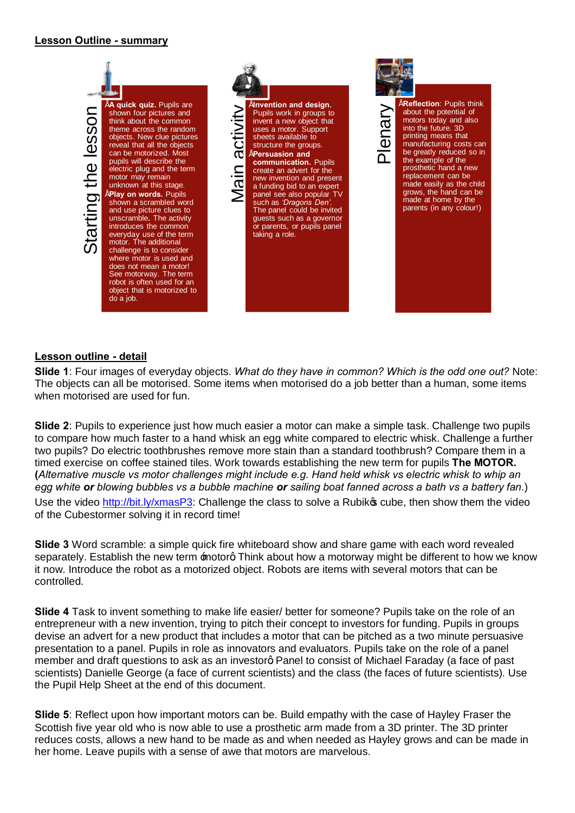#### **Lesson Outline - summary**

shown four pictures and think about the common theme across the random objects. New clue pictures reveal that all the objects can be motorized. Most pupils will describe the electric plug and the term motor may remain unknown at this stage. • **Play on words.** Pupils shown a scrambled word and use picture clues to unscramble**.** The activity introduces the common everyday use of the term motor. The additional challenge is to consider where motor is used and does not mean a motor! See motorway. The term robot is often used for an object that is motorized to do a job.



Furner and design.<br>
Pupils work in groups to<br>
invent a new object that<br>
uses a motor. Support<br>
sheets available to<br>
structure the groups.<br> **COM**<br> **COM**<br> **COM**<br> **COM**<br> **COM**<br> **COM**<br> **COM**<br> **COM**<br> **COM**<br> **COM**<br> **COM**<br> **COM**<br> Pupils work in groups to invent a new object that uses a motor. Support sheets available to structure the groups. • **Persuasion and communication.** Pupils create an advert for the new invention and present a funding bid to an expert panel see also popular TV such as *'Dragons Den'*. The panel could be invited guests such as a governor or parents, or pupils panel taking a role.



#### **Lesson outline - detail**

**Slide 1**: Four images of everyday objects. *What do they have in common? Which is the odd one out?* Note: The objects can all be motorised. Some items when motorised do a job better than a human, some items when motorised are used for fun.

**Slide 2**: Pupils to experience just how much easier a motor can make a simple task. Challenge two pupils to compare how much faster to a hand whisk an egg white compared to electric whisk. Challenge a further two pupils? Do electric toothbrushes remove more stain than a standard toothbrush? Compare them in a timed exercise on coffee stained tiles. Work towards establishing the new term for pupils **The MOTOR. (***Alternative muscle vs motor challenges might include e.g. Hand held whisk vs electric whisk to whip an egg white or blowing bubbles vs a bubble machine or sailing boat fanned across a bath vs a battery fan.*) Use the video http://bit.ly/xmasP3: Challenge the class to solve a Rubiko cube, then show them the video of the Cubestormer solving it in record time! From the motion of a sense of a sense of a sense of a sense of a sense of a motion of a sense of a sense of a sense of a sense of a sense of a sense of a sense of a sense of a sense of a sense of a sense of a sense of a se

**Slide 3** Word scramble: a simple quick fire whiteboard show and share game with each word revealed separately. Establish the new term motorg Think about how a motorway might be different to how we know it now. Introduce the robot as a motorized object. Robots are items with several motors that can be controlled.

**Slide 4** Task to invent something to make life easier/ better for someone? Pupils take on the role of an entrepreneur with a new invention, trying to pitch their concept to investors for funding. Pupils in groups devise an advert for a new product that includes a motor that can be pitched as a two minute persuasive presentation to a panel. Pupils in role as innovators and evaluators. Pupils take on the role of a panel member and draft questions to ask as an investorg Panel to consist of Michael Faraday (a face of past scientists) Danielle George (a face of current scientists) and the class (the faces of future scientists). Use the Pupil Help Sheet at the end of this document.

**Slide 5**: Reflect upon how important motors can be. Build empathy with the case of Hayley Fraser the Scottish five year old who is now able to use a prosthetic arm made from a 3D printer. The 3D printer reduces costs, allows a new hand to be made as and when needed as Hayley grows and can be made in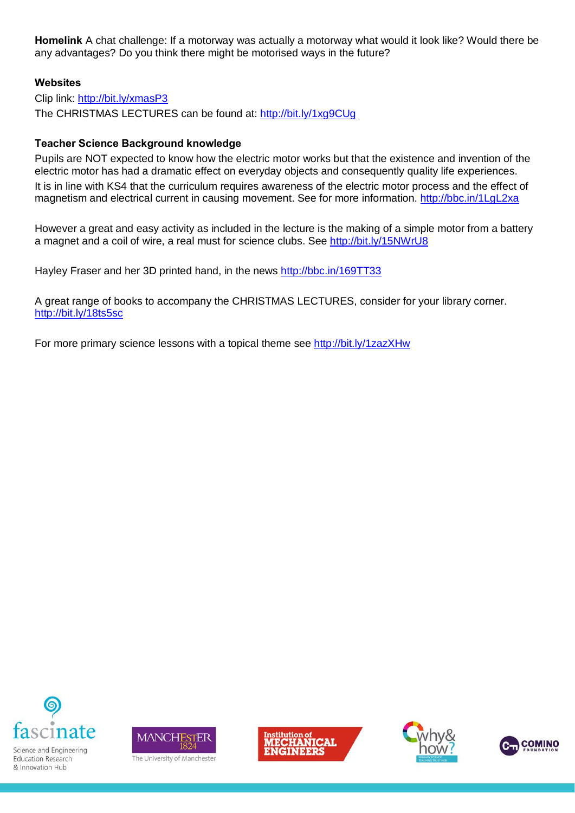**Homelink** A chat challenge: If a motorway was actually a motorway what would it look like? Would there be any advantages? Do you think there might be motorised ways in the future?

#### **Websites**

Clip link: http://bit.ly/xmasP3 The CHRISTMAS LECTURES can be found at: http://bit.ly/1xg9CUg

#### **Teacher Science Background knowledge**

Pupils are NOT expected to know how the electric motor works but that the existence and invention of the electric motor has had a dramatic effect on everyday objects and consequently quality life experiences. It is in line with KS4 that the curriculum requires awareness of the electric motor process and the effect of magnetism and electrical current in causing movement. See for more information. http://bbc.in/1LgL2xa

However a great and easy activity as included in the lecture is the making of a simple motor from a battery a magnet and a coil of wire, a real must for science clubs. See http://bit.ly/15NWrU8

Hayley Fraser and her 3D printed hand, in the news http://bbc.in/169TT33

A great range of books to accompany the CHRISTMAS LECTURES, consider for your library corner. http://bit.ly/18ts5sc

For more primary science lessons with a topical theme see http://bit.ly/1zazXHw



Science and Engineering Education Research & Innovation Hub